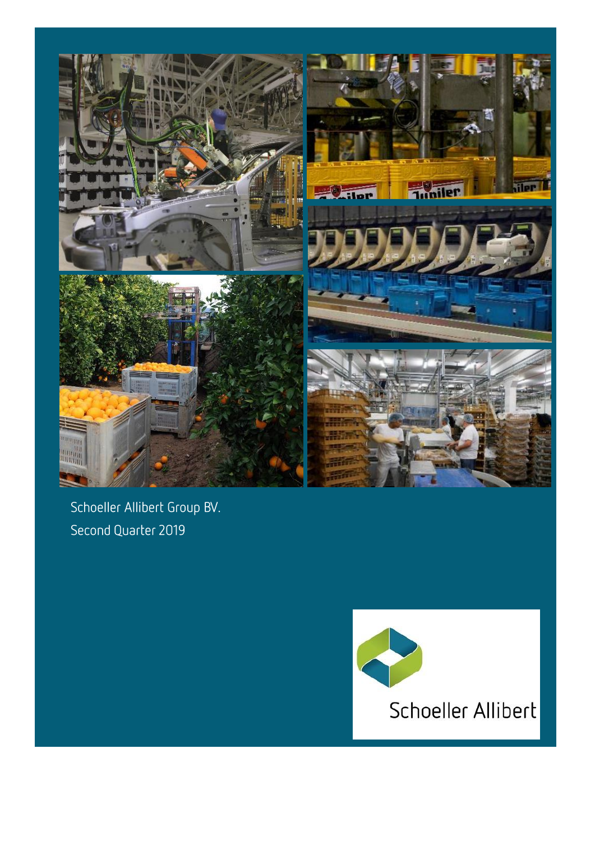

Schoeller Allibert Group BV. Second Quarter 2019

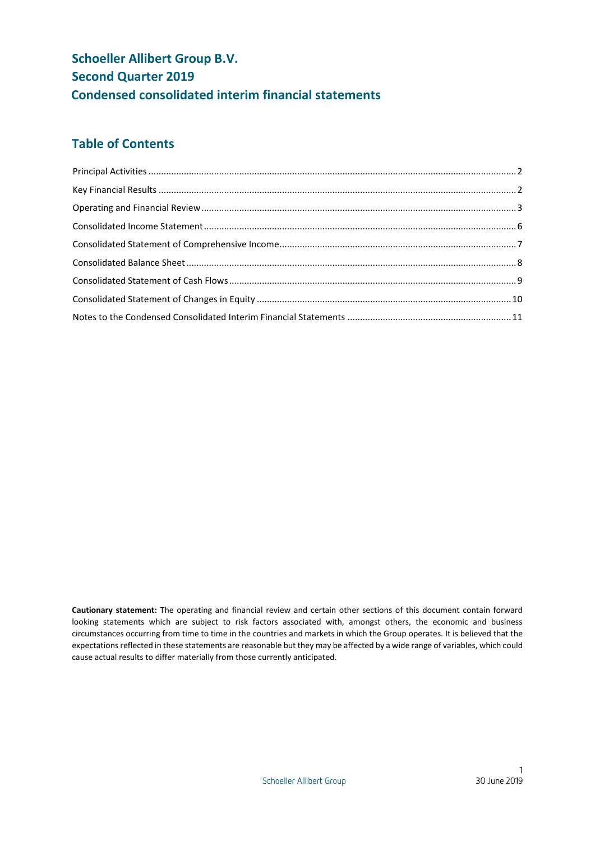# **Schoeller Allibert Group B.V. Second Quarter 2019 Condensed consolidated interim financial statements**

# **Table of Contents**

**Cautionary statement:** The operating and financial review and certain other sections of this document contain forward looking statements which are subject to risk factors associated with, amongst others, the economic and business circumstances occurring from time to time in the countries and markets in which the Group operates. It is believed that the expectations reflected in these statements are reasonable but they may be affected by a wide range of variables, which could cause actual results to differ materially from those currently anticipated.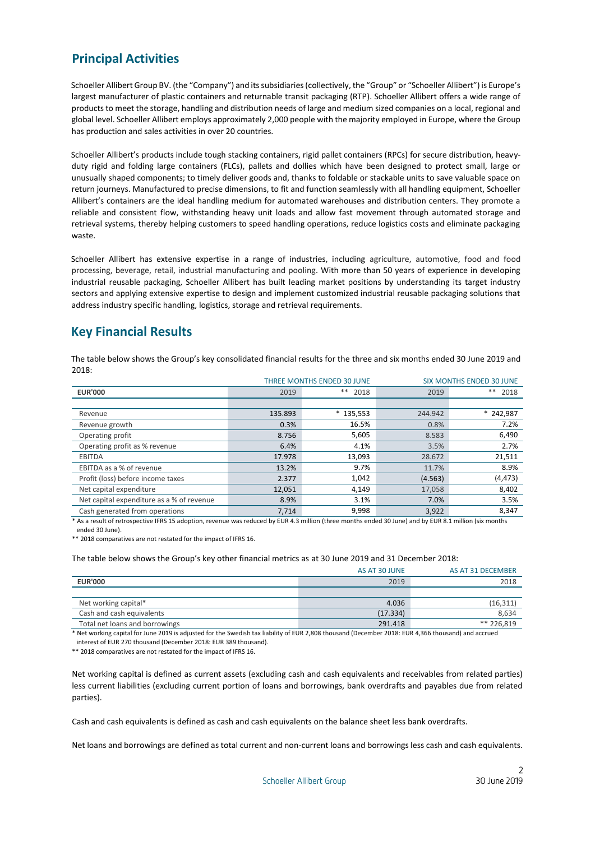# <span id="page-2-0"></span>**Principal Activities**

Schoeller Allibert Group BV. (the "Company") and its subsidiaries (collectively, the "Group" or "Schoeller Allibert") is Europe's largest manufacturer of plastic containers and returnable transit packaging (RTP). Schoeller Allibert offers a wide range of products to meet the storage, handling and distribution needs of large and medium sized companies on a local, regional and global level. Schoeller Allibert employs approximately 2,000 people with the majority employed in Europe, where the Group has production and sales activities in over 20 countries.

Schoeller Allibert's products include tough stacking containers, rigid pallet containers (RPCs) for secure distribution, heavyduty rigid and folding large containers (FLCs), pallets and dollies which have been designed to protect small, large or unusually shaped components; to timely deliver goods and, thanks to foldable or stackable units to save valuable space on return journeys. Manufactured to precise dimensions, to fit and function seamlessly with all handling equipment, Schoeller Allibert's containers are the ideal handling medium for automated warehouses and distribution centers. They promote a reliable and consistent flow, withstanding heavy unit loads and allow fast movement through automated storage and retrieval systems, thereby helping customers to speed handling operations, reduce logistics costs and eliminate packaging waste.

Schoeller Allibert has extensive expertise in a range of industries, including agriculture, automotive, food and food processing, beverage, retail, industrial manufacturing and pooling. With more than 50 years of experience in developing industrial reusable packaging, Schoeller Allibert has built leading market positions by understanding its target industry sectors and applying extensive expertise to design and implement customized industrial reusable packaging solutions that address industry specific handling, logistics, storage and retrieval requirements.

# <span id="page-2-1"></span>**Key Financial Results**

The table below shows the Group's key consolidated financial results for the three and six months ended 30 June 2019 and  $2018$ 

|                                           |         | <b>THREE MONTHS ENDED 30 JUNE</b> |         | <b>SIX MONTHS ENDED 30 JUNE</b> |
|-------------------------------------------|---------|-----------------------------------|---------|---------------------------------|
| <b>EUR'000</b>                            | 2019    | $***$<br>2018                     | 2019    | ** 2018                         |
|                                           |         |                                   |         |                                 |
| Revenue                                   | 135.893 | $*135,553$                        | 244.942 | $* 242,987$                     |
| Revenue growth                            | 0.3%    | 16.5%                             | 0.8%    | 7.2%                            |
| Operating profit                          | 8.756   | 5,605                             | 8.583   | 6,490                           |
| Operating profit as % revenue             | 6.4%    | 4.1%                              | 3.5%    | 2.7%                            |
| <b>EBITDA</b>                             | 17.978  | 13,093                            | 28.672  | 21,511                          |
| EBITDA as a % of revenue                  | 13.2%   | 9.7%                              | 11.7%   | 8.9%                            |
| Profit (loss) before income taxes         | 2.377   | 1,042                             | (4.563) | (4, 473)                        |
| Net capital expenditure                   | 12,051  | 4,149                             | 17,058  | 8,402                           |
| Net capital expenditure as a % of revenue | 8.9%    | 3.1%                              | 7.0%    | 3.5%                            |
| Cash generated from operations            | 7.714   | 9,998                             | 3,922   | 8,347                           |

\* As a result of retrospective IFRS 15 adoption, revenue was reduced by EUR 4.3 million (three months ended 30 June) and by EUR 8.1 million (six months ended 30 June).

\*\* 2018 comparatives are not restated for the impact of IFRS 16.

The table below shows the Group's key other financial metrics as at 30 June 2019 and 31 December 2018:

|                                | AS AT 30 JUNE | AS AT 31 DECEMBER |
|--------------------------------|---------------|-------------------|
| <b>EUR'000</b>                 | 2019          | 2018              |
|                                |               |                   |
| Net working capital*           | 4.036         | (16, 311)         |
| Cash and cash equivalents      | (17.334)      | 8,634             |
| Total net loans and borrowings | 291.418       | ** 226.819        |

\* Net working capital for June 2019 is adjusted for the Swedish tax liability of EUR 2,808 thousand (December 2018: EUR 4,366 thousand) and accrued interest of EUR 270 thousand (December 2018: EUR 389 thousand).

\*\* 2018 comparatives are not restated for the impact of IFRS 16.

Net working capital is defined as current assets (excluding cash and cash equivalents and receivables from related parties) less current liabilities (excluding current portion of loans and borrowings, bank overdrafts and payables due from related parties).

Cash and cash equivalents is defined as cash and cash equivalents on the balance sheet less bank overdrafts.

Net loans and borrowings are defined as total current and non-current loans and borrowings less cash and cash equivalents.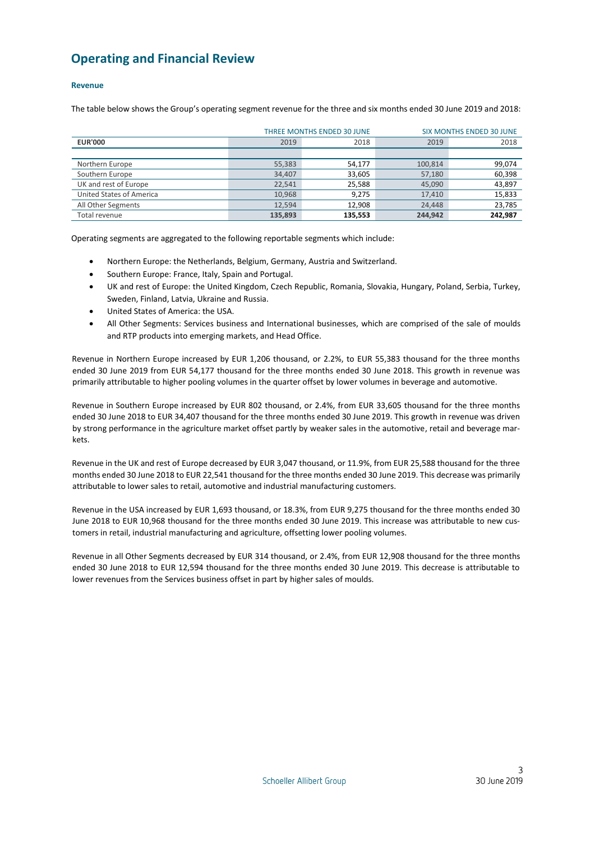# <span id="page-3-0"></span>**Operating and Financial Review**

# **Revenue**

The table below shows the Group's operating segment revenue for the three and six months ended 30 June 2019 and 2018:

|                          |         | <b>THREE MONTHS ENDED 30 JUNE</b> |         | <b>SIX MONTHS ENDED 30 JUNE</b> |
|--------------------------|---------|-----------------------------------|---------|---------------------------------|
| <b>EUR'000</b>           | 2019    | 2018                              | 2019    | 2018                            |
|                          |         |                                   |         |                                 |
| Northern Europe          | 55,383  | 54,177                            | 100,814 | 99,074                          |
| Southern Europe          | 34,407  | 33,605                            | 57,180  | 60,398                          |
| UK and rest of Europe    | 22,541  | 25,588                            | 45,090  | 43,897                          |
| United States of America | 10,968  | 9,275                             | 17,410  | 15,833                          |
| All Other Segments       | 12.594  | 12,908                            | 24,448  | 23,785                          |
| Total revenue            | 135.893 | 135.553                           | 244.942 | 242,987                         |

Operating segments are aggregated to the following reportable segments which include:

- Northern Europe: the Netherlands, Belgium, Germany, Austria and Switzerland.
- Southern Europe: France, Italy, Spain and Portugal.
- UK and rest of Europe: the United Kingdom, Czech Republic, Romania, Slovakia, Hungary, Poland, Serbia, Turkey, Sweden, Finland, Latvia, Ukraine and Russia.
- United States of America: the USA.
- All Other Segments: Services business and International businesses, which are comprised of the sale of moulds and RTP products into emerging markets, and Head Office.

Revenue in Northern Europe increased by EUR 1,206 thousand, or 2.2%, to EUR 55,383 thousand for the three months ended 30 June 2019 from EUR 54,177 thousand for the three months ended 30 June 2018. This growth in revenue was primarily attributable to higher pooling volumes in the quarter offset by lower volumes in beverage and automotive.

Revenue in Southern Europe increased by EUR 802 thousand, or 2.4%, from EUR 33,605 thousand for the three months ended 30 June 2018 to EUR 34,407 thousand for the three months ended 30 June 2019. This growth in revenue was driven by strong performance in the agriculture market offset partly by weaker sales in the automotive, retail and beverage markets.

Revenue in the UK and rest of Europe decreased by EUR 3,047 thousand, or 11.9%, from EUR 25,588 thousand for the three months ended 30 June 2018 to EUR 22,541 thousand for the three months ended 30 June 2019. This decrease was primarily attributable to lower sales to retail, automotive and industrial manufacturing customers.

Revenue in the USA increased by EUR 1,693 thousand, or 18.3%, from EUR 9,275 thousand for the three months ended 30 June 2018 to EUR 10,968 thousand for the three months ended 30 June 2019. This increase was attributable to new customers in retail, industrial manufacturing and agriculture, offsetting lower pooling volumes.

Revenue in all Other Segments decreased by EUR 314 thousand, or 2.4%, from EUR 12,908 thousand for the three months ended 30 June 2018 to EUR 12,594 thousand for the three months ended 30 June 2019. This decrease is attributable to lower revenues from the Services business offset in part by higher sales of moulds.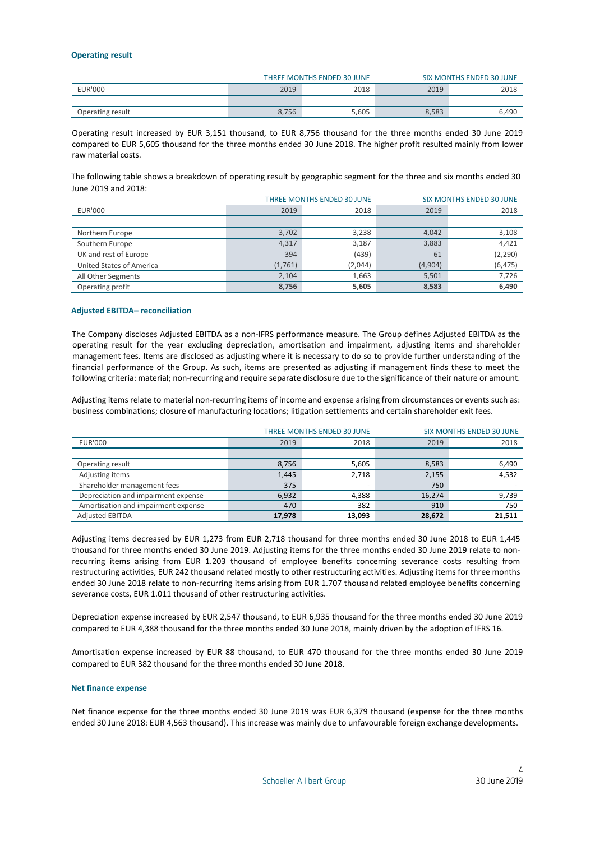### **Operating result**

|                  |       | THREE MONTHS ENDED 30 JUNE | <b>SIX MONTHS ENDED 30 JUNE</b> |       |  |
|------------------|-------|----------------------------|---------------------------------|-------|--|
| EUR'000          | 2019  | 2018                       | 2019                            | 2018  |  |
|                  |       |                            |                                 |       |  |
| Operating result | 8,756 | 5,605                      | 8,583                           | 6.490 |  |

Operating result increased by EUR 3,151 thousand, to EUR 8,756 thousand for the three months ended 30 June 2019 compared to EUR 5,605 thousand for the three months ended 30 June 2018. The higher profit resulted mainly from lower raw material costs.

The following table shows a breakdown of operating result by geographic segment for the three and six months ended 30 June 2019 and 2018:

|                          |         | THREE MONTHS ENDED 30 JUNE |         | <b>SIX MONTHS ENDED 30 JUNE</b> |
|--------------------------|---------|----------------------------|---------|---------------------------------|
| <b>EUR'000</b>           | 2019    | 2018                       | 2019    | 2018                            |
|                          |         |                            |         |                                 |
| Northern Europe          | 3,702   | 3,238                      | 4,042   | 3,108                           |
| Southern Europe          | 4,317   | 3,187                      | 3,883   | 4,421                           |
| UK and rest of Europe    | 394     | (439)                      | 61      | (2, 290)                        |
| United States of America | (1,761) | (2,044)                    | (4,904) | (6, 475)                        |
| All Other Segments       | 2,104   | 1,663                      | 5,501   | 7,726                           |
| Operating profit         | 8,756   | 5,605                      | 8,583   | 6,490                           |

# **Adjusted EBITDA– reconciliation**

The Company discloses Adjusted EBITDA as a non-IFRS performance measure. The Group defines Adjusted EBITDA as the operating result for the year excluding depreciation, amortisation and impairment, adjusting items and shareholder management fees. Items are disclosed as adjusting where it is necessary to do so to provide further understanding of the financial performance of the Group. As such, items are presented as adjusting if management finds these to meet the following criteria: material; non-recurring and require separate disclosure due to the significance of their nature or amount.

Adjusting items relate to material non-recurring items of income and expense arising from circumstances or events such as: business combinations; closure of manufacturing locations; litigation settlements and certain shareholder exit fees.

|                                     |        | THREE MONTHS ENDED 30 JUNE |        | <b>SIX MONTHS ENDED 30 JUNE</b> |
|-------------------------------------|--------|----------------------------|--------|---------------------------------|
| <b>EUR'000</b>                      | 2019   | 2018                       |        |                                 |
|                                     |        |                            |        |                                 |
| Operating result                    | 8,756  | 5,605                      | 8,583  | 6,490                           |
| Adjusting items                     | 1,445  | 2,718                      | 2,155  | 4,532                           |
| Shareholder management fees         | 375    |                            | 750    |                                 |
| Depreciation and impairment expense | 6,932  | 4,388                      | 16,274 | 9,739                           |
| Amortisation and impairment expense | 470    | 382                        | 910    | 750                             |
| <b>Adjusted EBITDA</b>              | 17,978 | 13.093                     | 28,672 | 21.511                          |

Adjusting items decreased by EUR 1,273 from EUR 2,718 thousand for three months ended 30 June 2018 to EUR 1,445 thousand for three months ended 30 June 2019. Adjusting items for the three months ended 30 June 2019 relate to nonrecurring items arising from EUR 1.203 thousand of employee benefits concerning severance costs resulting from restructuring activities, EUR 242 thousand related mostly to other restructuring activities. Adjusting items for three months ended 30 June 2018 relate to non-recurring items arising from EUR 1.707 thousand related employee benefits concerning severance costs, EUR 1.011 thousand of other restructuring activities.

Depreciation expense increased by EUR 2,547 thousand, to EUR 6,935 thousand for the three months ended 30 June 2019 compared to EUR 4,388 thousand for the three months ended 30 June 2018, mainly driven by the adoption of IFRS 16.

Amortisation expense increased by EUR 88 thousand, to EUR 470 thousand for the three months ended 30 June 2019 compared to EUR 382 thousand for the three months ended 30 June 2018.

### **Net finance expense**

Net finance expense for the three months ended 30 June 2019 was EUR 6,379 thousand (expense for the three months ended 30 June 2018: EUR 4,563 thousand). This increase was mainly due to unfavourable foreign exchange developments.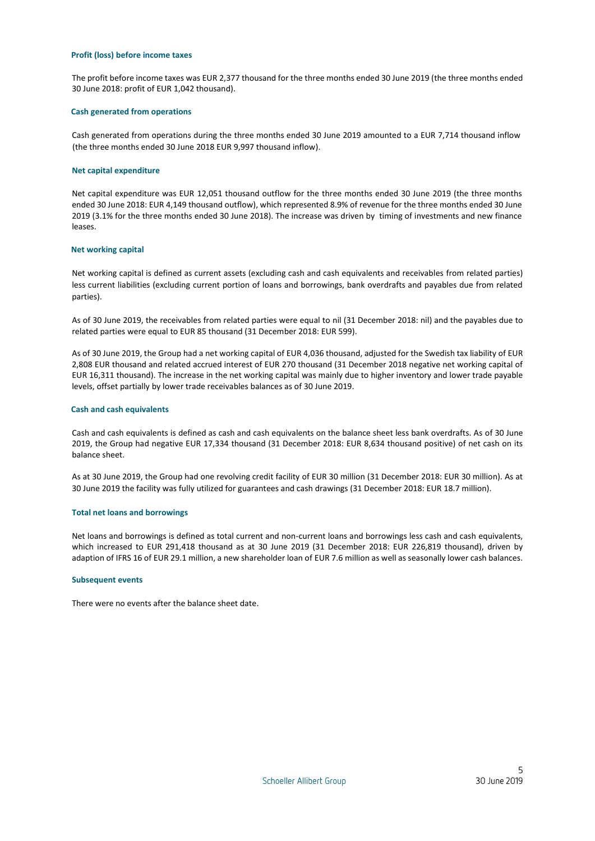#### **Profit (loss) before income taxes**

The profit before income taxes was EUR 2,377 thousand for the three months ended 30 June 2019 (the three months ended 30 June 2018: profit of EUR 1,042 thousand).

#### **Cash generated from operations**

Cash generated from operations during the three months ended 30 June 2019 amounted to a EUR 7,714 thousand inflow (the three months ended 30 June 2018 EUR 9,997 thousand inflow).

#### **Net capital expenditure**

Net capital expenditure was EUR 12,051 thousand outflow for the three months ended 30 June 2019 (the three months ended 30 June 2018: EUR 4,149 thousand outflow), which represented 8.9% of revenue for the three months ended 30 June 2019 (3.1% for the three months ended 30 June 2018). The increase was driven by timing of investments and new finance leases.

## **Net working capital**

Net working capital is defined as current assets (excluding cash and cash equivalents and receivables from related parties) less current liabilities (excluding current portion of loans and borrowings, bank overdrafts and payables due from related parties).

As of 30 June 2019, the receivables from related parties were equal to nil (31 December 2018: nil) and the payables due to related parties were equal to EUR 85 thousand (31 December 2018: EUR 599).

As of 30 June 2019, the Group had a net working capital of EUR 4,036 thousand, adjusted for the Swedish tax liability of EUR 2,808 EUR thousand and related accrued interest of EUR 270 thousand (31 December 2018 negative net working capital of EUR 16,311 thousand). The increase in the net working capital was mainly due to higher inventory and lower trade payable levels, offset partially by lower trade receivables balances as of 30 June 2019.

## **Cash and cash equivalents**

Cash and cash equivalents is defined as cash and cash equivalents on the balance sheet less bank overdrafts. As of 30 June 2019, the Group had negative EUR 17,334 thousand (31 December 2018: EUR 8,634 thousand positive) of net cash on its balance sheet.

As at 30 June 2019, the Group had one revolving credit facility of EUR 30 million (31 December 2018: EUR 30 million). As at 30 June 2019 the facility was fully utilized for guarantees and cash drawings (31 December 2018: EUR 18.7 million).

#### **Total net loans and borrowings**

Net loans and borrowings is defined as total current and non-current loans and borrowings less cash and cash equivalents, which increased to EUR 291,418 thousand as at 30 June 2019 (31 December 2018: EUR 226,819 thousand), driven by adaption of IFRS 16 of EUR 29.1 million, a new shareholder loan of EUR 7.6 million as well as seasonally lower cash balances.

#### **Subsequent events**

There were no events after the balance sheet date.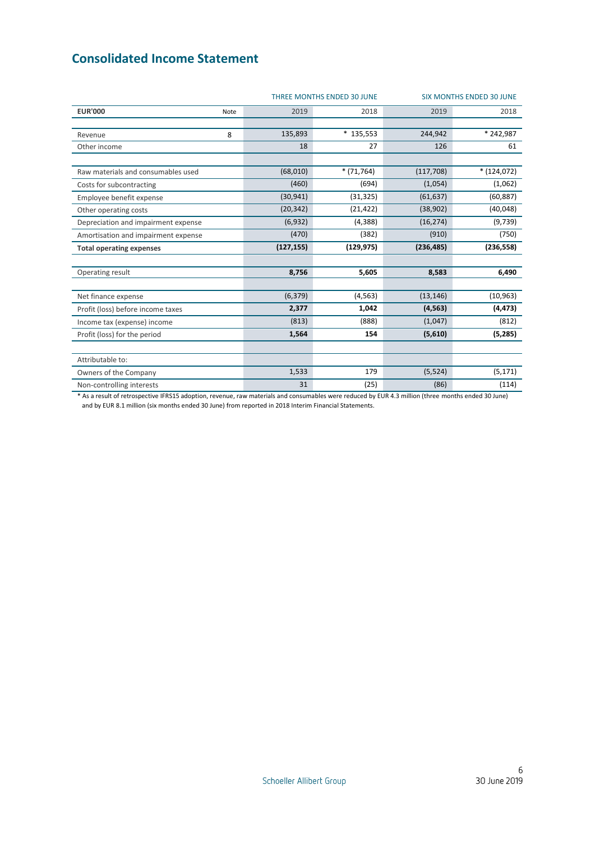# <span id="page-6-0"></span>**Consolidated Income Statement**

|                                     |      |            | THREE MONTHS ENDED 30 JUNE |            | <b>SIX MONTHS ENDED 30 JUNE</b> |
|-------------------------------------|------|------------|----------------------------|------------|---------------------------------|
| <b>EUR'000</b>                      | Note | 2019       | 2018                       | 2019       | 2018                            |
|                                     |      |            |                            |            |                                 |
| Revenue                             | 8    | 135,893    | $*135,553$                 | 244,942    | * 242,987                       |
| Other income                        |      | 18         | 27                         | 126        | 61                              |
|                                     |      |            |                            |            |                                 |
| Raw materials and consumables used  |      | (68,010)   | $*(71,764)$                | (117, 708) | $*(124,072)$                    |
| Costs for subcontracting            |      | (460)      | (694)                      | (1,054)    | (1,062)                         |
| Employee benefit expense            |      | (30, 941)  | (31, 325)                  | (61, 637)  | (60, 887)                       |
| Other operating costs               |      | (20, 342)  | (21, 422)                  | (38,902)   | (40, 048)                       |
| Depreciation and impairment expense |      | (6,932)    | (4, 388)                   | (16, 274)  | (9,739)                         |
| Amortisation and impairment expense |      | (470)      | (382)                      | (910)      | (750)                           |
| <b>Total operating expenses</b>     |      | (127, 155) | (129, 975)                 | (236, 485) | (236, 558)                      |
|                                     |      |            |                            |            |                                 |
| Operating result                    |      | 8,756      | 5,605                      | 8,583      | 6,490                           |
|                                     |      |            |                            |            |                                 |
| Net finance expense                 |      | (6, 379)   | (4, 563)                   | (13, 146)  | (10, 963)                       |
| Profit (loss) before income taxes   |      | 2,377      | 1,042                      | (4, 563)   | (4, 473)                        |
| Income tax (expense) income         |      | (813)      | (888)                      | (1,047)    | (812)                           |
| Profit (loss) for the period        |      | 1,564      | 154                        | (5,610)    | (5,285)                         |
|                                     |      |            |                            |            |                                 |
| Attributable to:                    |      |            |                            |            |                                 |
| Owners of the Company               |      | 1,533      | 179                        | (5, 524)   | (5, 171)                        |
| Non-controlling interests           |      | 31         | (25)                       | (86)       | (114)                           |

\* As a result of retrospective IFRS15 adoption, revenue, raw materials and consumables were reduced by EUR 4.3 million (three months ended 30 June) and by EUR 8.1 million (six months ended 30 June) from reported in 2018 Interim Financial Statements.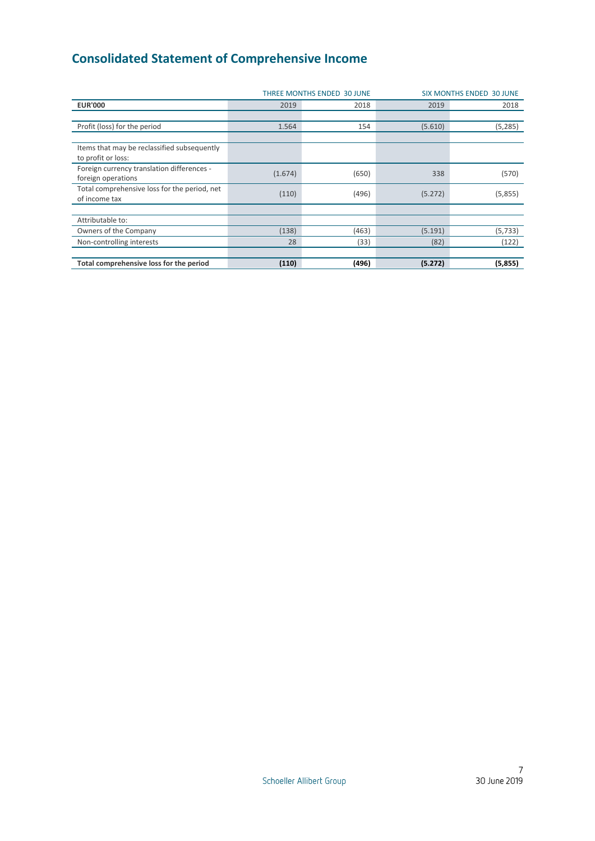# <span id="page-7-0"></span>**Consolidated Statement of Comprehensive Income**

|                                                                   | THREE MONTHS ENDED 30 JUNE<br><b>SIX MONTHS ENDED 30 JUNE</b> |       |         |          |  |
|-------------------------------------------------------------------|---------------------------------------------------------------|-------|---------|----------|--|
| <b>EUR'000</b>                                                    | 2019                                                          | 2018  | 2019    | 2018     |  |
|                                                                   |                                                               |       |         |          |  |
| Profit (loss) for the period                                      | 1.564                                                         | 154   | (5.610) | (5, 285) |  |
|                                                                   |                                                               |       |         |          |  |
| Items that may be reclassified subsequently<br>to profit or loss: |                                                               |       |         |          |  |
| Foreign currency translation differences -<br>foreign operations  | (1.674)                                                       | (650) | 338     | (570)    |  |
| Total comprehensive loss for the period, net<br>of income tax     | (110)                                                         | (496) | (5.272) | (5,855)  |  |
|                                                                   |                                                               |       |         |          |  |
| Attributable to:                                                  |                                                               |       |         |          |  |
| Owners of the Company                                             | (138)                                                         | (463) | (5.191) | (5, 733) |  |
| Non-controlling interests                                         | 28                                                            | (33)  | (82)    | (122)    |  |
|                                                                   |                                                               |       |         |          |  |
| Total comprehensive loss for the period                           | (110)                                                         | (496) | (5.272) | (5,855)  |  |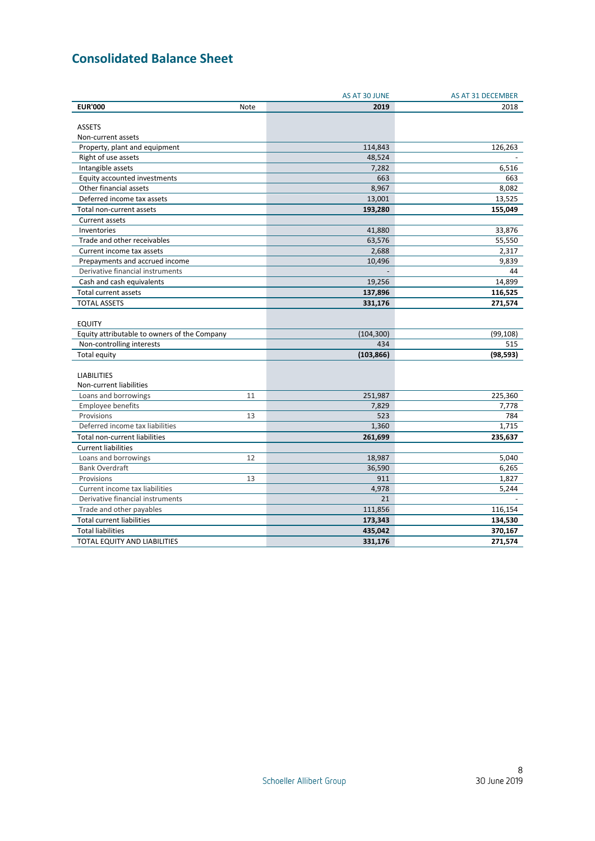# <span id="page-8-0"></span>**Consolidated Balance Sheet**

|                                              |             | AS AT 30 JUNE | AS AT 31 DECEMBER |
|----------------------------------------------|-------------|---------------|-------------------|
| <b>EUR'000</b>                               | <b>Note</b> | 2019          | 2018              |
|                                              |             |               |                   |
| <b>ASSETS</b>                                |             |               |                   |
| Non-current assets                           |             |               |                   |
| Property, plant and equipment                |             | 114,843       | 126,263           |
| Right of use assets                          |             | 48,524        |                   |
| Intangible assets                            |             | 7,282         | 6,516             |
| Equity accounted investments                 |             | 663           | 663               |
| Other financial assets                       |             | 8,967         | 8,082             |
| Deferred income tax assets                   |             | 13,001        | 13,525            |
| Total non-current assets                     |             | 193,280       | 155.049           |
| Current assets                               |             |               |                   |
| Inventories                                  |             | 41,880        | 33,876            |
| Trade and other receivables                  |             | 63,576        | 55,550            |
| Current income tax assets                    |             | 2,688         | 2,317             |
| Prepayments and accrued income               |             | 10,496        | 9,839             |
| Derivative financial instruments             |             |               | 44                |
| Cash and cash equivalents                    |             | 19,256        | 14,899            |
| Total current assets                         |             | 137,896       | 116,525           |
| <b>TOTAL ASSETS</b>                          |             | 331,176       | 271,574           |
|                                              |             |               |                   |
| <b>EQUITY</b>                                |             |               |                   |
| Equity attributable to owners of the Company |             | (104, 300)    | (99, 108)         |
| Non-controlling interests                    |             | 434           | 515               |
| Total equity                                 |             | (103, 866)    | (98, 593)         |
|                                              |             |               |                   |
| <b>LIABILITIES</b>                           |             |               |                   |
| Non-current liabilities                      |             |               |                   |
| Loans and borrowings                         | 11          | 251,987       | 225,360           |
| Employee benefits                            |             | 7,829         | 7,778             |
| Provisions                                   | 13          | 523           | 784               |
| Deferred income tax liabilities              |             | 1,360         | 1,715             |
| Total non-current liabilities                |             | 261,699       | 235,637           |
| <b>Current liabilities</b>                   |             |               |                   |
| Loans and borrowings                         | 12          | 18,987        | 5,040             |
| <b>Bank Overdraft</b>                        |             | 36,590        | 6,265             |
| Provisions                                   | 13          | 911           | 1,827             |
| Current income tax liabilities               |             | 4,978         | 5,244             |
| Derivative financial instruments             |             | 21            |                   |
| Trade and other payables                     |             | 111,856       | 116,154           |
| <b>Total current liabilities</b>             |             | 173,343       | 134,530           |
| <b>Total liabilities</b>                     |             | 435,042       | 370,167           |
| <b>TOTAL EQUITY AND LIABILITIES</b>          |             | 331,176       | 271,574           |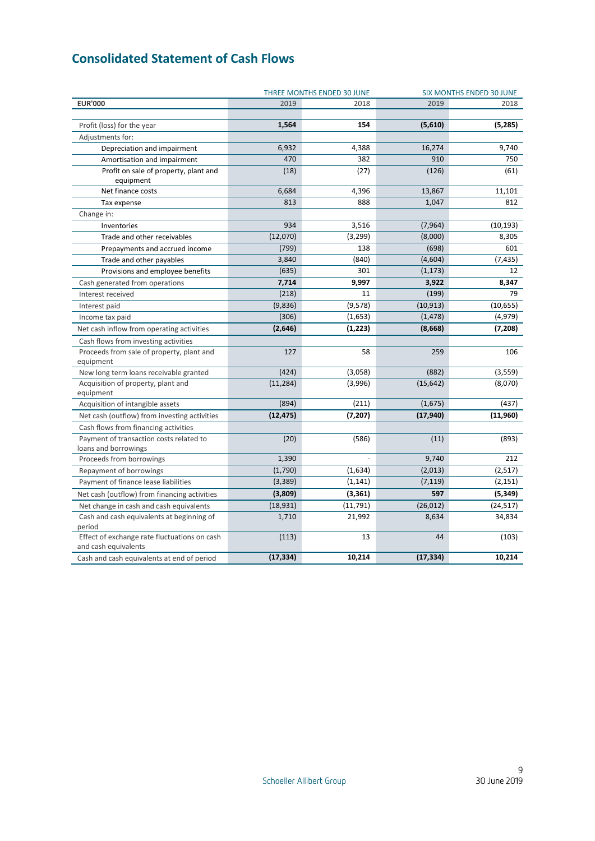# <span id="page-9-0"></span>**Consolidated Statement of Cash Flows**

|                                                                      |           | THREE MONTHS ENDED 30 JUNE | <b>SIX MONTHS ENDED 30 JUNE</b> |           |  |
|----------------------------------------------------------------------|-----------|----------------------------|---------------------------------|-----------|--|
| <b>EUR'000</b>                                                       | 2019      | 2018                       | 2019                            | 2018      |  |
|                                                                      |           |                            |                                 |           |  |
| Profit (loss) for the year                                           | 1,564     | 154                        | (5,610)                         | (5,285)   |  |
| Adjustments for:                                                     |           |                            |                                 |           |  |
| Depreciation and impairment                                          | 6,932     | 4,388                      | 16,274                          | 9,740     |  |
| Amortisation and impairment                                          | 470       | 382                        | 910                             | 750       |  |
| Profit on sale of property, plant and<br>equipment                   | (18)      | (27)                       | (126)                           | (61)      |  |
| Net finance costs                                                    | 6,684     | 4,396                      | 13,867                          | 11,101    |  |
| Tax expense                                                          | 813       | 888                        | 1,047                           | 812       |  |
| Change in:                                                           |           |                            |                                 |           |  |
| Inventories                                                          | 934       | 3,516                      | (7, 964)                        | (10, 193) |  |
| Trade and other receivables                                          | (12,070)  | (3, 299)                   | (8,000)                         | 8,305     |  |
| Prepayments and accrued income                                       | (799)     | 138                        | (698)                           | 601       |  |
| Trade and other payables                                             | 3,840     | (840)                      | (4,604)                         | (7, 435)  |  |
| Provisions and employee benefits                                     | (635)     | 301                        | (1, 173)                        | 12        |  |
| Cash generated from operations                                       | 7,714     | 9,997                      | 3,922                           | 8,347     |  |
| Interest received                                                    | (218)     | 11                         | (199)                           | 79        |  |
| Interest paid                                                        | (9,836)   | (9,578)                    | (10, 913)                       | (10, 655) |  |
| Income tax paid                                                      | (306)     | (1,653)                    | (1, 478)                        | (4, 979)  |  |
| Net cash inflow from operating activities                            | (2,646)   | (1, 223)                   | (8,668)                         | (7, 208)  |  |
| Cash flows from investing activities                                 |           |                            |                                 |           |  |
| Proceeds from sale of property, plant and<br>equipment               | 127       | 58                         | 259                             | 106       |  |
| New long term loans receivable granted                               | (424)     | (3,058)                    | (882)                           | (3, 559)  |  |
| Acquisition of property, plant and<br>equipment                      | (11, 284) | (3,996)                    | (15, 642)                       | (8,070)   |  |
| Acquisition of intangible assets                                     | (894)     | (211)                      | (1,675)                         | (437)     |  |
| Net cash (outflow) from investing activities                         | (12, 475) | (7, 207)                   | (17, 940)                       | (11, 960) |  |
| Cash flows from financing activities                                 |           |                            |                                 |           |  |
| Payment of transaction costs related to<br>loans and borrowings      | (20)      | (586)                      | (11)                            | (893)     |  |
| Proceeds from borrowings                                             | 1,390     |                            | 9,740                           | 212       |  |
| Repayment of borrowings                                              | (1,790)   | (1,634)                    | (2,013)                         | (2,517)   |  |
| Payment of finance lease liabilities                                 | (3, 389)  | (1, 141)                   | (7, 119)                        | (2, 151)  |  |
| Net cash (outflow) from financing activities                         | (3,809)   | (3,361)                    | 597                             | (5, 349)  |  |
| Net change in cash and cash equivalents                              | (18, 931) | (11, 791)                  | (26, 012)                       | (24, 517) |  |
| Cash and cash equivalents at beginning of                            | 1,710     | 21,992                     | 8,634                           | 34,834    |  |
| period                                                               |           |                            |                                 |           |  |
| Effect of exchange rate fluctuations on cash<br>and cash equivalents | (113)     | 13                         | 44                              | (103)     |  |
| Cash and cash equivalents at end of period                           | (17, 334) | 10,214                     | (17, 334)                       | 10,214    |  |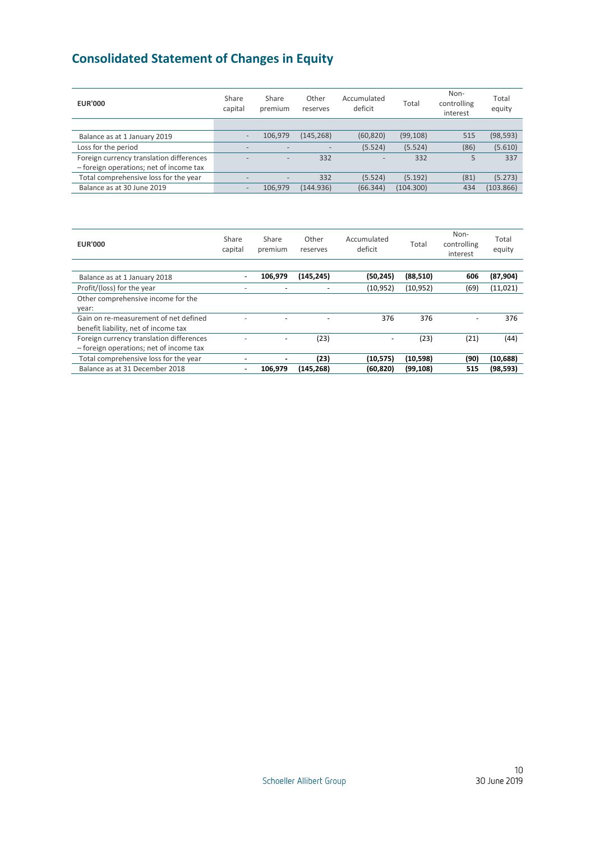# <span id="page-10-0"></span>**Consolidated Statement of Changes in Equity**

| <b>EUR'000</b>                           | Share<br>capital         | Share<br>premium | Other<br>reserves        | Accumulated<br>deficit | Total     | Non-<br>controlling<br>interest | Total<br>equity |
|------------------------------------------|--------------------------|------------------|--------------------------|------------------------|-----------|---------------------------------|-----------------|
|                                          |                          |                  |                          |                        |           |                                 |                 |
| Balance as at 1 January 2019             |                          | 106.979          | (145, 268)               | (60, 820)              | (99, 108) | 515                             | (98, 593)       |
| Loss for the period                      | $\overline{\phantom{0}}$ |                  | $\overline{\phantom{a}}$ | (5.524)                | (5.524)   | (86)                            | (5.610)         |
| Foreign currency translation differences |                          |                  | 332                      |                        | 332       | 5                               | 337             |
| - foreign operations; net of income tax  |                          |                  |                          |                        |           |                                 |                 |
| Total comprehensive loss for the year    |                          |                  | 332                      | (5.524)                | (5.192)   | (81)                            | (5.273)         |
| Balance as at 30 June 2019               | $\overline{\phantom{0}}$ | 106.979          | (144.936)                | (66.344)               | (104.300) | 434                             | (103.866)       |

| <b>EUR'000</b>                           | Share<br>capital | Share<br>premium | Other<br>reserves | Accumulated<br>deficit | Total     | Non-<br>controlling<br>interest | Total<br>equity |
|------------------------------------------|------------------|------------------|-------------------|------------------------|-----------|---------------------------------|-----------------|
|                                          |                  |                  |                   |                        |           |                                 |                 |
| Balance as at 1 January 2018             |                  | 106,979          | (145,245)         | (50,245)               | (88, 510) | 606                             | (87, 904)       |
| Profit/(loss) for the year               |                  |                  |                   | (10, 952)              | (10, 952) | (69)                            | (11, 021)       |
| Other comprehensive income for the       |                  |                  |                   |                        |           |                                 |                 |
| year:                                    |                  |                  |                   |                        |           |                                 |                 |
| Gain on re-measurement of net defined    |                  |                  |                   | 376                    | 376       |                                 | 376             |
| benefit liability, net of income tax     |                  |                  |                   |                        |           |                                 |                 |
| Foreign currency translation differences |                  |                  | (23)              |                        | (23)      | (21)                            | (44)            |
| - foreign operations; net of income tax  |                  |                  |                   |                        |           |                                 |                 |
| Total comprehensive loss for the year    |                  |                  | (23)              | (10, 575)              | (10, 598) | (90)                            | (10, 688)       |
| Balance as at 31 December 2018           |                  | 106.979          | (145,268)         | (60,820)               | (99, 108) | 515                             | (98, 593)       |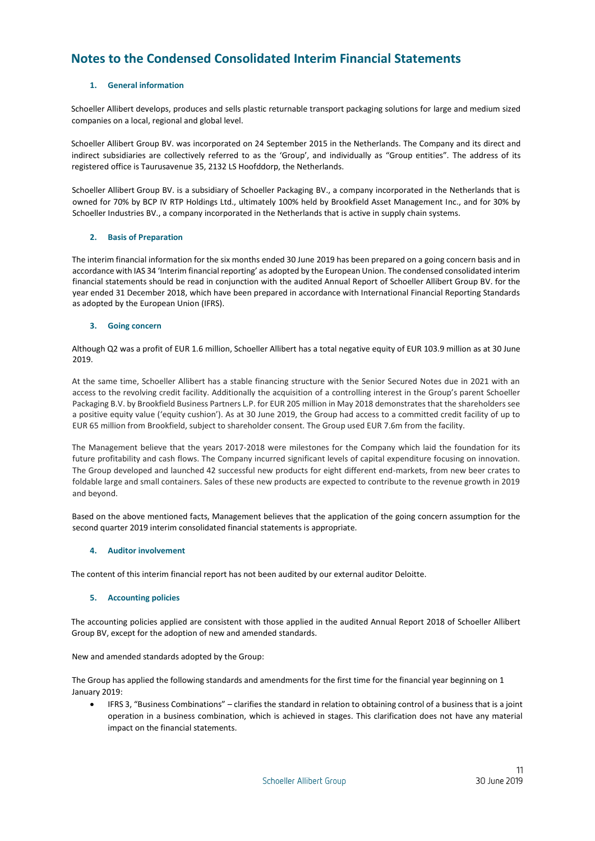# <span id="page-11-0"></span>**Notes to the Condensed Consolidated Interim Financial Statements**

# **1. General information**

Schoeller Allibert develops, produces and sells plastic returnable transport packaging solutions for large and medium sized companies on a local, regional and global level.

Schoeller Allibert Group BV. was incorporated on 24 September 2015 in the Netherlands. The Company and its direct and indirect subsidiaries are collectively referred to as the 'Group', and individually as "Group entities". The address of its registered office is Taurusavenue 35, 2132 LS Hoofddorp, the Netherlands.

Schoeller Allibert Group BV. is a subsidiary of Schoeller Packaging BV., a company incorporated in the Netherlands that is owned for 70% by BCP IV RTP Holdings Ltd., ultimately 100% held by Brookfield Asset Management Inc., and for 30% by Schoeller Industries BV., a company incorporated in the Netherlands that is active in supply chain systems.

# **2. Basis of Preparation**

The interim financial information for the six months ended 30 June 2019 has been prepared on a going concern basis and in accordance with IAS 34 'Interim financial reporting' as adopted by the European Union. The condensed consolidated interim financial statements should be read in conjunction with the audited Annual Report of Schoeller Allibert Group BV. for the year ended 31 December 2018, which have been prepared in accordance with International Financial Reporting Standards as adopted by the European Union (IFRS).

# **3. Going concern**

Although Q2 was a profit of EUR 1.6 million, Schoeller Allibert has a total negative equity of EUR 103.9 million as at 30 June 2019.

At the same time, Schoeller Allibert has a stable financing structure with the Senior Secured Notes due in 2021 with an access to the revolving credit facility. Additionally the acquisition of a controlling interest in the Group's parent Schoeller Packaging B.V. by Brookfield Business Partners L.P. for EUR 205 million in May 2018 demonstrates that the shareholders see a positive equity value ('equity cushion'). As at 30 June 2019, the Group had access to a committed credit facility of up to EUR 65 million from Brookfield, subject to shareholder consent. The Group used EUR 7.6m from the facility.

The Management believe that the years 2017-2018 were milestones for the Company which laid the foundation for its future profitability and cash flows. The Company incurred significant levels of capital expenditure focusing on innovation. The Group developed and launched 42 successful new products for eight different end-markets, from new beer crates to foldable large and small containers. Sales of these new products are expected to contribute to the revenue growth in 2019 and beyond.

Based on the above mentioned facts, Management believes that the application of the going concern assumption for the second quarter 2019 interim consolidated financial statements is appropriate.

# **4. Auditor involvement**

The content of this interim financial report has not been audited by our external auditor Deloitte.

# **5. Accounting policies**

The accounting policies applied are consistent with those applied in the audited Annual Report 2018 of Schoeller Allibert Group BV, except for the adoption of new and amended standards.

New and amended standards adopted by the Group:

The Group has applied the following standards and amendments for the first time for the financial year beginning on 1 January 2019:

 IFRS 3, "Business Combinations" – clarifies the standard in relation to obtaining control of a business that is a joint operation in a business combination, which is achieved in stages. This clarification does not have any material impact on the financial statements.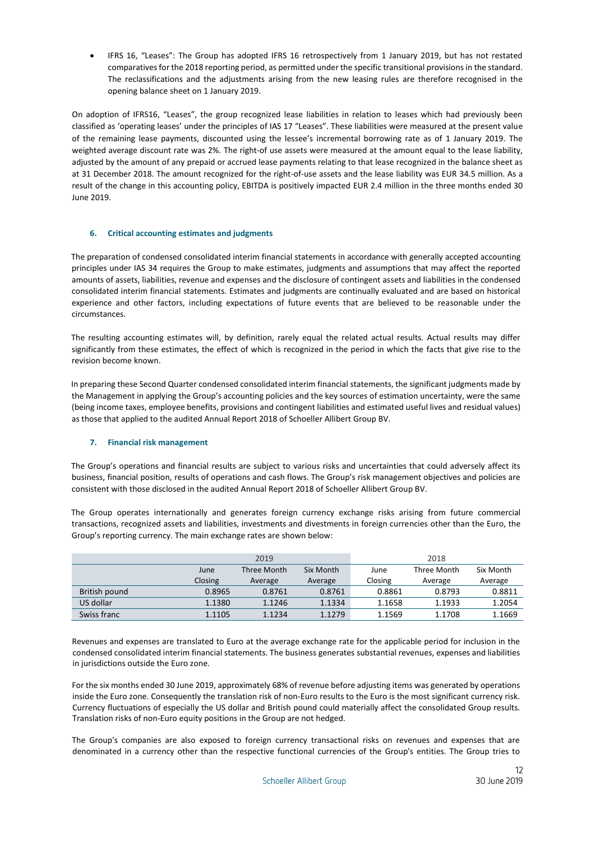IFRS 16, "Leases": The Group has adopted IFRS 16 retrospectively from 1 January 2019, but has not restated comparatives for the 2018 reporting period, as permitted under the specific transitional provisions in the standard. The reclassifications and the adjustments arising from the new leasing rules are therefore recognised in the opening balance sheet on 1 January 2019.

On adoption of IFRS16, "Leases", the group recognized lease liabilities in relation to leases which had previously been classified as 'operating leases' under the principles of IAS 17 "Leases". These liabilities were measured at the present value of the remaining lease payments, discounted using the lessee's incremental borrowing rate as of 1 January 2019. The weighted average discount rate was 2%. The right-of use assets were measured at the amount equal to the lease liability, adjusted by the amount of any prepaid or accrued lease payments relating to that lease recognized in the balance sheet as at 31 December 2018. The amount recognized for the right-of-use assets and the lease liability was EUR 34.5 million. As a result of the change in this accounting policy, EBITDA is positively impacted EUR 2.4 million in the three months ended 30 June 2019.

# **6. Critical accounting estimates and judgments**

The preparation of condensed consolidated interim financial statements in accordance with generally accepted accounting principles under IAS 34 requires the Group to make estimates, judgments and assumptions that may affect the reported amounts of assets, liabilities, revenue and expenses and the disclosure of contingent assets and liabilities in the condensed consolidated interim financial statements. Estimates and judgments are continually evaluated and are based on historical experience and other factors, including expectations of future events that are believed to be reasonable under the circumstances.

The resulting accounting estimates will, by definition, rarely equal the related actual results. Actual results may differ significantly from these estimates, the effect of which is recognized in the period in which the facts that give rise to the revision become known.

In preparing these Second Quarter condensed consolidated interim financial statements, the significant judgments made by the Management in applying the Group's accounting policies and the key sources of estimation uncertainty, were the same (being income taxes, employee benefits, provisions and contingent liabilities and estimated useful lives and residual values) as those that applied to the audited Annual Report 2018 of Schoeller Allibert Group BV.

# **7. Financial risk management**

The Group's operations and financial results are subject to various risks and uncertainties that could adversely affect its business, financial position, results of operations and cash flows. The Group's risk management objectives and policies are consistent with those disclosed in the audited Annual Report 2018 of Schoeller Allibert Group BV.

The Group operates internationally and generates foreign currency exchange risks arising from future commercial transactions, recognized assets and liabilities, investments and divestments in foreign currencies other than the Euro, the Group's reporting currency. The main exchange rates are shown below:

|               |         | 2019        |           | 2018    |             |           |  |
|---------------|---------|-------------|-----------|---------|-------------|-----------|--|
|               | June    | Three Month | Six Month | June    | Three Month | Six Month |  |
|               | Closing | Average     | Average   | Closing | Average     | Average   |  |
| British pound | 0.8965  | 0.8761      | 0.8761    | 0.8861  | 0.8793      | 0.8811    |  |
| US dollar     | 1.1380  | 1.1246      | 1.1334    | 1.1658  | 1.1933      | 1.2054    |  |
| Swiss franc   | 1.1105  | 1.1234      | 1.1279    | 1.1569  | 1.1708      | 1.1669    |  |

Revenues and expenses are translated to Euro at the average exchange rate for the applicable period for inclusion in the condensed consolidated interim financial statements. The business generates substantial revenues, expenses and liabilities in jurisdictions outside the Euro zone.

For the six months ended 30 June 2019, approximately 68% of revenue before adjusting items was generated by operations inside the Euro zone. Consequently the translation risk of non-Euro results to the Euro is the most significant currency risk. Currency fluctuations of especially the US dollar and British pound could materially affect the consolidated Group results. Translation risks of non-Euro equity positions in the Group are not hedged.

The Group's companies are also exposed to foreign currency transactional risks on revenues and expenses that are denominated in a currency other than the respective functional currencies of the Group's entities. The Group tries to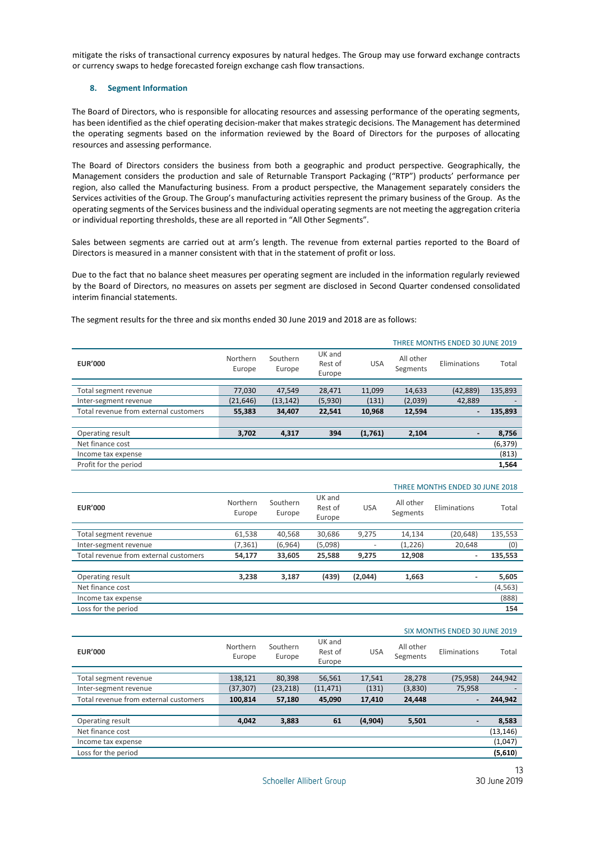mitigate the risks of transactional currency exposures by natural hedges. The Group may use forward exchange contracts or currency swaps to hedge forecasted foreign exchange cash flow transactions.

# **8. Segment Information**

The Board of Directors, who is responsible for allocating resources and assessing performance of the operating segments, has been identified as the chief operating decision-maker that makes strategic decisions. The Management has determined the operating segments based on the information reviewed by the Board of Directors for the purposes of allocating resources and assessing performance.

The Board of Directors considers the business from both a geographic and product perspective. Geographically, the Management considers the production and sale of Returnable Transport Packaging ("RTP") products' performance per region, also called the Manufacturing business. From a product perspective, the Management separately considers the Services activities of the Group. The Group's manufacturing activities represent the primary business of the Group. As the operating segments of the Services business and the individual operating segments are not meeting the aggregation criteria or individual reporting thresholds, these are all reported in "All Other Segments".

Sales between segments are carried out at arm's length. The revenue from external parties reported to the Board of Directors is measured in a manner consistent with that in the statement of profit or loss.

Due to the fact that no balance sheet measures per operating segment are included in the information regularly reviewed by the Board of Directors, no measures on assets per segment are disclosed in Second Quarter condensed consolidated interim financial statements.

|                                       |                    |                    |                             |            | THREE MONTHS ENDED 30 JUNE 2019 |                |          |  |
|---------------------------------------|--------------------|--------------------|-----------------------------|------------|---------------------------------|----------------|----------|--|
| <b>EUR'000</b>                        | Northern<br>Europe | Southern<br>Europe | UK and<br>Rest of<br>Europe | <b>USA</b> | All other<br>Segments           | Eliminations   | Total    |  |
|                                       |                    |                    |                             |            |                                 |                |          |  |
| Total segment revenue                 | 77,030             | 47,549             | 28,471                      | 11,099     | 14,633                          | (42, 889)      | 135,893  |  |
| Inter-segment revenue                 | (21, 646)          | (13, 142)          | (5,930)                     | (131)      | (2,039)                         | 42,889         |          |  |
| Total revenue from external customers | 55,383             | 34,407             | 22,541                      | 10,968     | 12,594                          | $\blacksquare$ | 135,893  |  |
|                                       |                    |                    |                             |            |                                 |                |          |  |
| Operating result                      | 3,702              | 4,317              | 394                         | (1,761)    | 2,104                           | $\blacksquare$ | 8,756    |  |
| Net finance cost                      |                    |                    |                             |            |                                 |                | (6, 379) |  |
| Income tax expense                    |                    |                    |                             |            |                                 |                | (813)    |  |
| Profit for the period                 |                    |                    |                             |            |                                 |                | 1,564    |  |
|                                       |                    |                    |                             |            |                                 |                |          |  |

The segment results for the three and six months ended 30 June 2019 and 2018 are as follows:

|                                       | THREE MONTHS ENDED 30 JUNE 2018 |                    |                             |            |                       |              |          |
|---------------------------------------|---------------------------------|--------------------|-----------------------------|------------|-----------------------|--------------|----------|
| <b>EUR'000</b>                        | Northern<br>Europe              | Southern<br>Europe | UK and<br>Rest of<br>Europe | <b>USA</b> | All other<br>Segments | Eliminations | Total    |
| Total segment revenue                 | 61,538                          | 40,568             | 30,686                      | 9,275      | 14,134                | (20, 648)    | 135,553  |
| Inter-segment revenue                 | (7, 361)                        | (6,964)            | (5,098)                     |            | (1,226)               | 20.648       | (0)      |
| Total revenue from external customers | 54,177                          | 33,605             | 25,588                      | 9,275      | 12,908                | ٠            | 135,553  |
|                                       |                                 |                    |                             |            |                       |              |          |
| Operating result                      | 3.238                           | 3,187              | (439)                       | (2,044)    | 1,663                 | ٠            | 5,605    |
| Net finance cost                      |                                 |                    |                             |            |                       |              | (4, 563) |
| Income tax expense                    |                                 |                    |                             |            |                       |              | (888)    |
| Loss for the period                   |                                 |                    |                             |            |                       |              | 154      |

#### SIX MONTHS ENDED 30 JUNE 2019

| <b>EUR'000</b>                        | Northern<br>Europe | Southern<br>Europe | UK and<br>Rest of<br>Europe | <b>USA</b> | All other<br>Segments | Eliminations   | Total     |
|---------------------------------------|--------------------|--------------------|-----------------------------|------------|-----------------------|----------------|-----------|
|                                       |                    |                    |                             |            |                       |                |           |
| Total segment revenue                 | 138,121            | 80,398             | 56,561                      | 17,541     | 28,278                | (75, 958)      | 244,942   |
| Inter-segment revenue                 | (37, 307)          | (23, 218)          | (11, 471)                   | (131)      | (3,830)               | 75,958         |           |
| Total revenue from external customers | 100,814            | 57,180             | 45,090                      | 17,410     | 24,448                | -              | 244,942   |
|                                       |                    |                    |                             |            |                       |                |           |
| Operating result                      | 4,042              | 3,883              | 61                          | (4, 904)   | 5,501                 | $\blacksquare$ | 8,583     |
| Net finance cost                      |                    |                    |                             |            |                       |                | (13, 146) |
| Income tax expense                    |                    |                    |                             |            |                       |                | (1,047)   |
| Loss for the period                   |                    |                    |                             |            |                       |                | (5,610)   |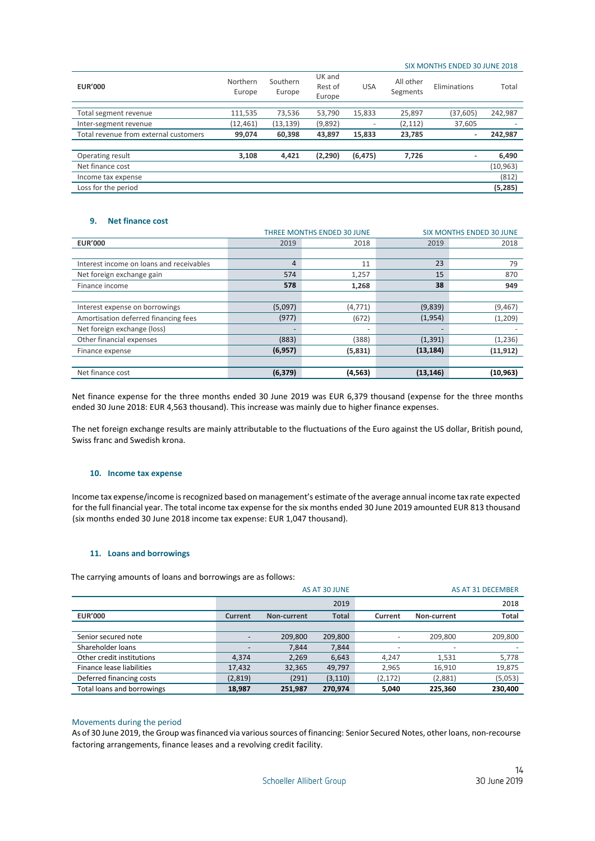#### SIX MONTHS ENDED 30 JUNE 2018

| <b>EUR'000</b>                        | Northern<br>Europe | Southern<br>Europe | UK and<br>Rest of<br>Europe | <b>USA</b> | All other<br>Segments | Eliminations | Total     |
|---------------------------------------|--------------------|--------------------|-----------------------------|------------|-----------------------|--------------|-----------|
|                                       |                    |                    |                             |            |                       |              |           |
| Total segment revenue                 | 111,535            | 73,536             | 53,790                      | 15,833     | 25,897                | (37, 605)    | 242,987   |
| Inter-segment revenue                 | (12, 461)          | (13,139)           | (9,892)                     | -          | (2, 112)              | 37,605       |           |
| Total revenue from external customers | 99,074             | 60,398             | 43,897                      | 15,833     | 23,785                | ۰            | 242,987   |
|                                       |                    |                    |                             |            |                       |              |           |
| Operating result                      | 3,108              | 4,421              | (2, 290)                    | (6, 475)   | 7,726                 | ۰            | 6,490     |
| Net finance cost                      |                    |                    |                             |            |                       |              | (10, 963) |
| Income tax expense                    |                    |                    |                             |            |                       |              | (812)     |
| Loss for the period                   |                    |                    |                             |            |                       |              | (5,285)   |

### **9. Net finance cost**

|                                          |                | <b>THREE MONTHS ENDED 30 JUNE</b> |           | <b>SIX MONTHS ENDED 30 JUNE</b> |
|------------------------------------------|----------------|-----------------------------------|-----------|---------------------------------|
| <b>EUR'000</b>                           | 2019           | 2018                              |           | 2018                            |
|                                          |                |                                   |           |                                 |
| Interest income on loans and receivables | $\overline{4}$ | 11                                | 23        | 79                              |
| Net foreign exchange gain                | 574            | 1,257                             | 15        | 870                             |
| Finance income                           | 578            | 1,268                             | 38        | 949                             |
|                                          |                |                                   |           |                                 |
| Interest expense on borrowings           | (5,097)        | (4, 771)                          | (9,839)   | (9, 467)                        |
| Amortisation deferred financing fees     | (977)          | (672)                             | (1,954)   | (1,209)                         |
| Net foreign exchange (loss)              |                | ٠                                 |           |                                 |
| Other financial expenses                 | (883)          | (388)                             | (1, 391)  | (1, 236)                        |
| Finance expense                          | (6, 957)       | (5,831)                           | (13, 184) | (11, 912)                       |
|                                          |                |                                   |           |                                 |
| Net finance cost                         | (6, 379)       | (4, 563)                          | (13, 146) | (10, 963)                       |

Net finance expense for the three months ended 30 June 2019 was EUR 6,379 thousand (expense for the three months ended 30 June 2018: EUR 4,563 thousand). This increase was mainly due to higher finance expenses.

The net foreign exchange results are mainly attributable to the fluctuations of the Euro against the US dollar, British pound, Swiss franc and Swedish krona.

#### **10. Income tax expense**

Income tax expense/income is recognized based on management's estimate of the average annual income tax rate expected for the full financial year. The total income tax expense for the six months ended 30 June 2019 amounted EUR 813 thousand (six months ended 30 June 2018 income tax expense: EUR 1,047 thousand).

# **11. Loans and borrowings**

The carrying amounts of loans and borrowings are as follows:

|                            |         |             | AS AT 30 JUNE |          |             | <b>AS AT 31 DECEMBER</b> |
|----------------------------|---------|-------------|---------------|----------|-------------|--------------------------|
|                            |         |             | 2019          |          |             | 2018                     |
| <b>EUR'000</b>             | Current | Non-current | <b>Total</b>  | Current  | Non-current | <b>Total</b>             |
|                            |         |             |               |          |             |                          |
| Senior secured note        |         | 209,800     | 209,800       | -        | 209,800     | 209,800                  |
| Shareholder loans          |         | 7,844       | 7,844         | -        | ۰           | $\overline{\phantom{a}}$ |
| Other credit institutions  | 4.374   | 2,269       | 6,643         | 4.247    | 1.531       | 5,778                    |
| Finance lease liabilities  | 17,432  | 32,365      | 49,797        | 2.965    | 16,910      | 19,875                   |
| Deferred financing costs   | (2,819) | (291)       | (3, 110)      | (2, 172) | (2,881)     | (5,053)                  |
| Total loans and borrowings | 18,987  | 251,987     | 270.974       | 5,040    | 225.360     | 230,400                  |

# Movements during the period

As of 30 June 2019, the Group was financed via various sources of financing: Senior Secured Notes, other loans, non-recourse factoring arrangements, finance leases and a revolving credit facility.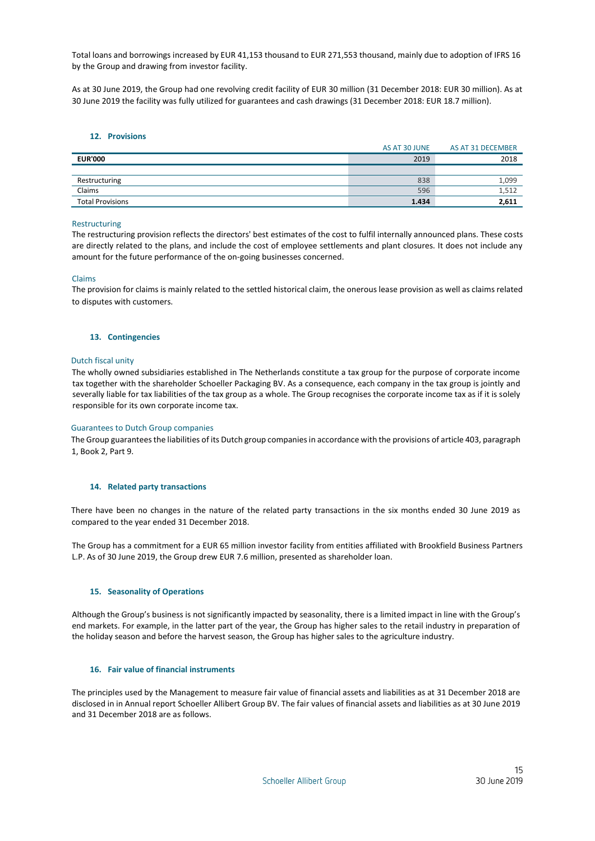Total loans and borrowings increased by EUR 41,153 thousand to EUR 271,553 thousand, mainly due to adoption of IFRS 16 by the Group and drawing from investor facility.

As at 30 June 2019, the Group had one revolving credit facility of EUR 30 million (31 December 2018: EUR 30 million). As at 30 June 2019 the facility was fully utilized for guarantees and cash drawings (31 December 2018: EUR 18.7 million).

# **12. Provisions**

|                         | AS AT 30 JUNE | AS AT 31 DECEMBER |
|-------------------------|---------------|-------------------|
| <b>EUR'000</b>          | 2019          | 2018              |
|                         |               |                   |
| Restructuring           | 838           | 1,099             |
| Claims                  | 596           | 1,512             |
| <b>Total Provisions</b> | 1.434         | 2,611             |

### Restructuring

The restructuring provision reflects the directors' best estimates of the cost to fulfil internally announced plans. These costs are directly related to the plans, and include the cost of employee settlements and plant closures. It does not include any amount for the future performance of the on-going businesses concerned.

# Claims

The provision for claims is mainly related to the settled historical claim, the onerous lease provision as well as claims related to disputes with customers.

### **13. Contingencies**

# Dutch fiscal unity

The wholly owned subsidiaries established in The Netherlands constitute a tax group for the purpose of corporate income tax together with the shareholder Schoeller Packaging BV. As a consequence, each company in the tax group is jointly and severally liable for tax liabilities of the tax group as a whole. The Group recognises the corporate income tax as if it is solely responsible for its own corporate income tax.

### Guarantees to Dutch Group companies

The Group guaranteesthe liabilities of its Dutch group companies in accordance with the provisions of article 403, paragraph 1, Book 2, Part 9.

### **14. Related party transactions**

There have been no changes in the nature of the related party transactions in the six months ended 30 June 2019 as compared to the year ended 31 December 2018.

The Group has a commitment for a EUR 65 million investor facility from entities affiliated with Brookfield Business Partners L.P. As of 30 June 2019, the Group drew EUR 7.6 million, presented as shareholder loan.

### **15. Seasonality of Operations**

Although the Group's business is not significantly impacted by seasonality, there is a limited impact in line with the Group's end markets. For example, in the latter part of the year, the Group has higher sales to the retail industry in preparation of the holiday season and before the harvest season, the Group has higher sales to the agriculture industry.

### **16. Fair value of financial instruments**

The principles used by the Management to measure fair value of financial assets and liabilities as at 31 December 2018 are disclosed in in Annual report Schoeller Allibert Group BV. The fair values of financial assets and liabilities as at 30 June 2019 and 31 December 2018 are as follows.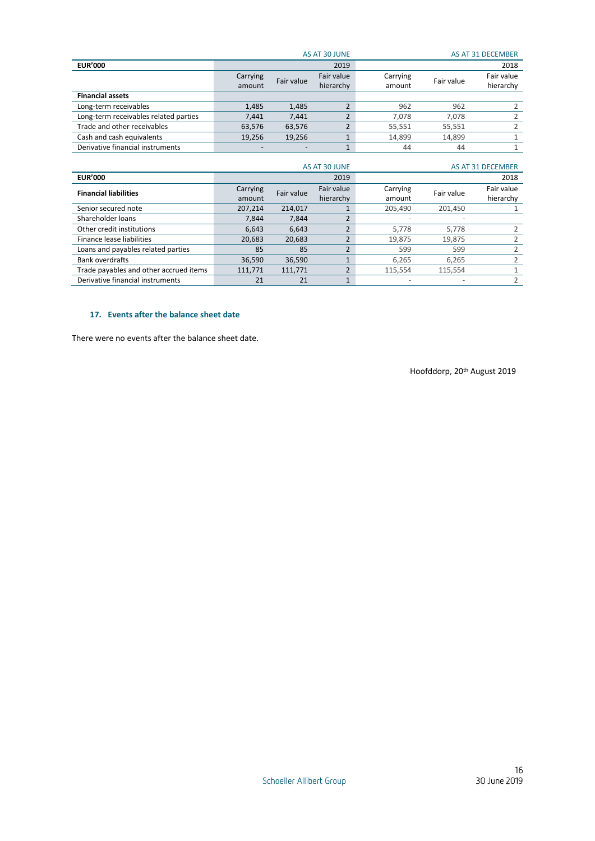|                                       |          |                          | AS AT 30 JUNE |          |            | <b>AS AT 31 DECEMBER</b> |
|---------------------------------------|----------|--------------------------|---------------|----------|------------|--------------------------|
| <b>EUR'000</b>                        |          |                          | 2019          |          |            | 2018                     |
|                                       | Carrying | Fair value               | Fair value    | Carrying | Fair value | Fair value               |
|                                       | amount   |                          | hierarchy     | amount   |            | hierarchy                |
| <b>Financial assets</b>               |          |                          |               |          |            |                          |
| Long-term receivables                 | 1,485    | 1,485                    |               | 962      | 962        |                          |
| Long-term receivables related parties | 7.441    | 7.441                    |               | 7.078    | 7.078      |                          |
| Trade and other receivables           | 63,576   | 63,576                   |               | 55,551   | 55,551     |                          |
| Cash and cash equivalents             | 19,256   | 19,256                   |               | 14,899   | 14.899     |                          |
| Derivative financial instruments      |          | $\overline{\phantom{0}}$ |               | 44       | 44         |                          |
|                                       |          |                          |               |          |            |                          |

|                                        |                    |            | AS AT 30 JUNE           |                    |            | AS AT 31 DECEMBER       |
|----------------------------------------|--------------------|------------|-------------------------|--------------------|------------|-------------------------|
| <b>EUR'000</b>                         |                    |            | 2019                    |                    |            | 2018                    |
| <b>Financial liabilities</b>           | Carrying<br>amount | Fair value | Fair value<br>hierarchy | Carrying<br>amount | Fair value | Fair value<br>hierarchy |
| Senior secured note                    | 207,214            | 214.017    |                         | 205,490            | 201.450    |                         |
| Shareholder loans                      | 7.844              | 7.844      |                         |                    |            |                         |
| Other credit institutions              | 6.643              | 6.643      |                         | 5.778              | 5.778      |                         |
| Finance lease liabilities              | 20,683             | 20,683     |                         | 19,875             | 19,875     |                         |
| Loans and payables related parties     | 85                 | 85         |                         | 599                | 599        |                         |
| <b>Bank overdrafts</b>                 | 36,590             | 36,590     |                         | 6.265              | 6.265      |                         |
| Trade payables and other accrued items | 111,771            | 111,771    |                         | 115,554            | 115,554    |                         |
| Derivative financial instruments       | 21                 | 21         |                         |                    |            |                         |

# **17. Events after the balance sheet date**

There were no events after the balance sheet date.

Hoofddorp, 20th August 2019